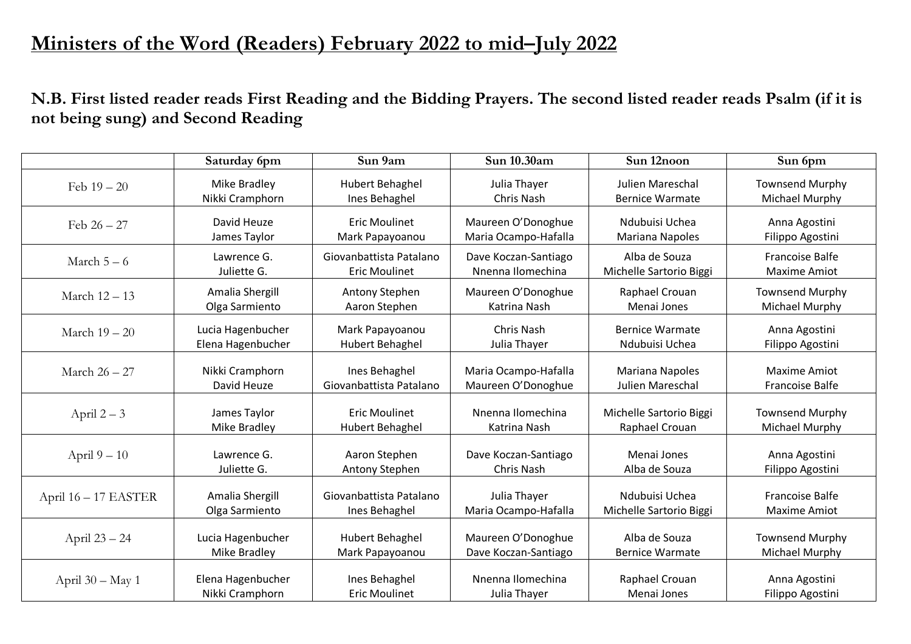## **Ministers of the Word (Readers) February 2022 to mid–July 2022**

**N.B. First listed reader reads First Reading and the Bidding Prayers. The second listed reader reads Psalm (if it is not being sung) and Second Reading**

|                      | Saturday 6pm      | Sun 9am                 | Sun 10.30am          | Sun 12noon              | Sun 6pm                |
|----------------------|-------------------|-------------------------|----------------------|-------------------------|------------------------|
| Feb $19 - 20$        | Mike Bradley      | <b>Hubert Behaghel</b>  | Julia Thayer         | Julien Mareschal        | <b>Townsend Murphy</b> |
|                      | Nikki Cramphorn   | Ines Behaghel           | Chris Nash           | <b>Bernice Warmate</b>  | Michael Murphy         |
| Feb $26 - 27$        | David Heuze       | <b>Eric Moulinet</b>    | Maureen O'Donoghue   | Ndubuisi Uchea          | Anna Agostini          |
|                      | James Taylor      | Mark Papayoanou         | Maria Ocampo-Hafalla | <b>Mariana Napoles</b>  | Filippo Agostini       |
| March $5-6$          | Lawrence G.       | Giovanbattista Patalano | Dave Koczan-Santiago | Alba de Souza           | <b>Francoise Balfe</b> |
|                      | Juliette G.       | <b>Eric Moulinet</b>    | Nnenna Ilomechina    | Michelle Sartorio Biggi | <b>Maxime Amiot</b>    |
| March 12 - 13        | Amalia Shergill   | Antony Stephen          | Maureen O'Donoghue   | Raphael Crouan          | <b>Townsend Murphy</b> |
|                      | Olga Sarmiento    | Aaron Stephen           | Katrina Nash         | Menai Jones             | Michael Murphy         |
| March 19 - 20        | Lucia Hagenbucher | Mark Papayoanou         | <b>Chris Nash</b>    | <b>Bernice Warmate</b>  | Anna Agostini          |
|                      | Elena Hagenbucher | <b>Hubert Behaghel</b>  | Julia Thayer         | Ndubuisi Uchea          | Filippo Agostini       |
| March 26 - 27        | Nikki Cramphorn   | Ines Behaghel           | Maria Ocampo-Hafalla | <b>Mariana Napoles</b>  | <b>Maxime Amiot</b>    |
|                      | David Heuze       | Giovanbattista Patalano | Maureen O'Donoghue   | Julien Mareschal        | <b>Francoise Balfe</b> |
| April $2-3$          | James Taylor      | <b>Eric Moulinet</b>    | Nnenna Ilomechina    | Michelle Sartorio Biggi | <b>Townsend Murphy</b> |
|                      | Mike Bradley      | <b>Hubert Behaghel</b>  | Katrina Nash         | Raphael Crouan          | Michael Murphy         |
| April $9-10$         | Lawrence G.       | Aaron Stephen           | Dave Koczan-Santiago | Menai Jones             | Anna Agostini          |
|                      | Juliette G.       | Antony Stephen          | <b>Chris Nash</b>    | Alba de Souza           | Filippo Agostini       |
| April 16 - 17 EASTER | Amalia Shergill   | Giovanbattista Patalano | Julia Thayer         | Ndubuisi Uchea          | <b>Francoise Balfe</b> |
|                      | Olga Sarmiento    | Ines Behaghel           | Maria Ocampo-Hafalla | Michelle Sartorio Biggi | <b>Maxime Amiot</b>    |
| April 23 - 24        | Lucia Hagenbucher | Hubert Behaghel         | Maureen O'Donoghue   | Alba de Souza           | <b>Townsend Murphy</b> |
|                      | Mike Bradley      | Mark Papayoanou         | Dave Koczan-Santiago | <b>Bernice Warmate</b>  | Michael Murphy         |
| April 30 - May 1     | Elena Hagenbucher | Ines Behaghel           | Nnenna Ilomechina    | Raphael Crouan          | Anna Agostini          |
|                      | Nikki Cramphorn   | <b>Eric Moulinet</b>    | Julia Thayer         | Menai Jones             | Filippo Agostini       |